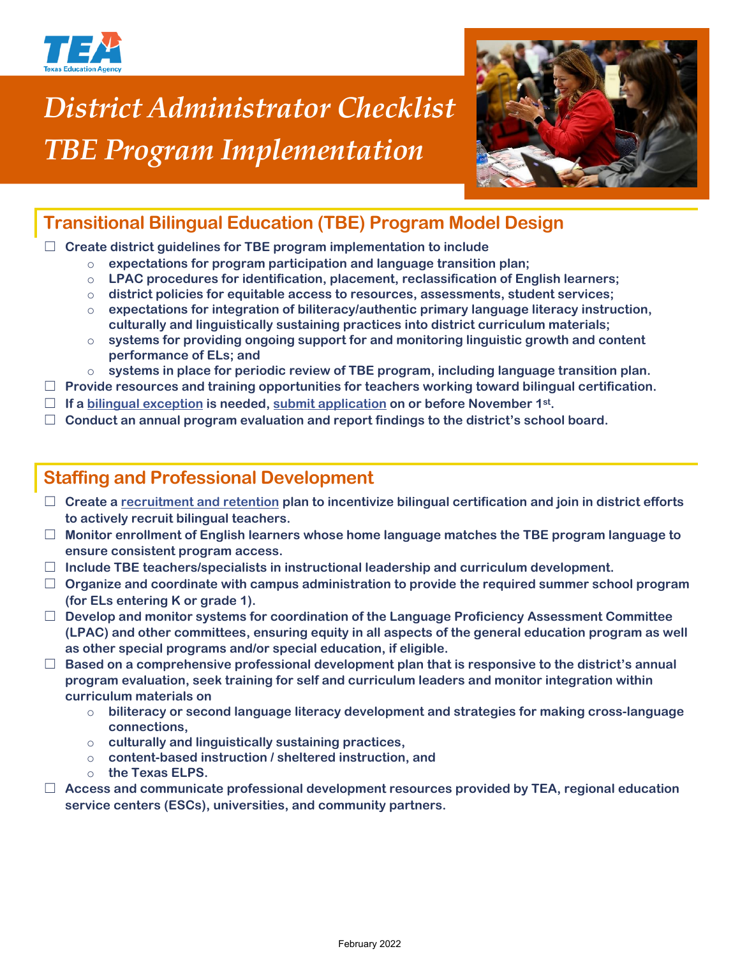

# *District Administrator Checklist TBE Program Implementation*



## **Transitional Bilingual Education (TBE) Program Model Design**

☐ **Create district guidelines for TBE program implementation to include**

- o **expectations for program participation and language transition plan;**
- o **LPAC procedures for identification, placement, reclassification of English learners;**
- o **district policies for equitable access to resources, assessments, student services;**
- o **expectations for integration of biliteracy/authentic primary language literacy instruction, culturally and linguistically sustaining practices into district curriculum materials;**
- o **systems for providing ongoing support for and monitoring linguistic growth and content performance of ELs; and**
- o **systems in place for periodic review of TBE program, including language transition plan.**
- ☐ **Provide resources and training opportunities for teachers working toward bilingual certification.**
- □ If a [bilingual exception](https://tea.texas.gov/sites/default/files/Bilingual%20Education%20Exception%20Scenario%20Chain%202019-2020%20update.pdf) is needed, [submit application](https://tea.texas.gov/Academics/Special_Student_Populations/Bilingual_ESL_Education/Bilingual_Education_Exception_and_ESL_Waiver_Resources) on or before November 1<sup>st</sup>.
- ☐ **Conduct an annual program evaluation and report findings to the district's school board.**

#### **Staffing and Professional Development**

- ☐ **Create a [recruitment and retention](https://tea.texas.gov/sites/default/files/Building%20Bilingual%20and%20ESL%20Programs.pdf) plan to incentivize bilingual certification and join in district efforts to actively recruit bilingual teachers.**
- ☐ **Monitor enrollment of English learners whose home language matches the TBE program language to ensure consistent program access.**
- ☐ **Include TBE teachers/specialists in instructional leadership and curriculum development.**
- ☐ **Organize and coordinate with campus administration to provide the required summer school program (for ELs entering K or grade 1).**
- ☐ **Develop and monitor systems for coordination of the Language Proficiency Assessment Committee (LPAC) and other committees, ensuring equity in all aspects of the general education program as well as other special programs and/or special education, if eligible.**
- ☐ **Based on a comprehensive professional development plan that is responsive to the district's annual program evaluation, seek training for self and curriculum leaders and monitor integration within curriculum materials on**
	- o **biliteracy or second language literacy development and strategies for making cross-language connections,**
	- o **culturally and linguistically sustaining practices,**
	- o **content-based instruction / sheltered instruction, and**
	- o **the Texas ELPS.**
- ☐ **Access and communicate professional development resources provided by TEA, regional education service centers (ESCs), universities, and community partners.**